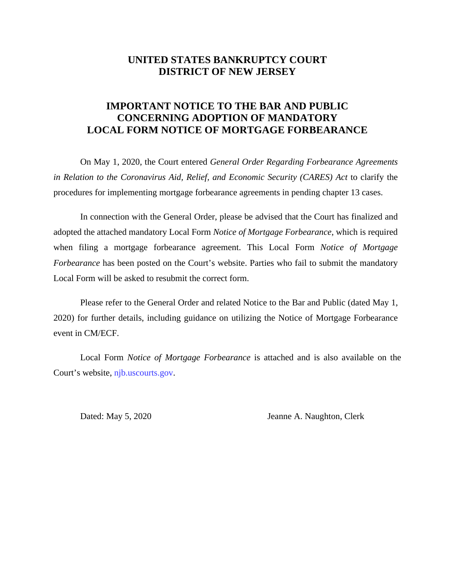## **UNITED STATES BANKRUPTCY COURT DISTRICT OF NEW JERSEY**

## **IMPORTANT NOTICE TO THE BAR AND PUBLIC CONCERNING ADOPTION OF MANDATORY LOCAL FORM NOTICE OF MORTGAGE FORBEARANCE**

On May 1, 2020, the Court entered *General Order Regarding Forbearance Agreements*  in Relation to the Coronavirus Aid, Relief, and Economic Security (CARES) Act to clarify the procedures for implementing mortgage forbearance agreements in pending chapter 13 cases.

In connection with the General Order, please be advised that the Court has finalized and adopted the attached mandatory Local Form *Notice of Mortgage Forbearance*, which is required when filing a mortgage forbearance agreement. This Local Form *Notice of Mortgage Forbearance* has been posted on the Court's website. Parties who fail to submit the mandatory Local Form will be asked to resubmit the correct form.

Please refer to the General Order and related Notice to the Bar and Public (dated May 1, 2020) for further details, including guidance on utilizing the Notice of Mortgage Forbearance event in CM/ECF.

Local Form *Notice of Mortgage Forbearance* is attached and is also available on the Court's website[, njb.uscourts.gov.](http://www.njb.uscourts.gov/) 

Dated: May 5, 2020 Jeanne A. Naughton, Clerk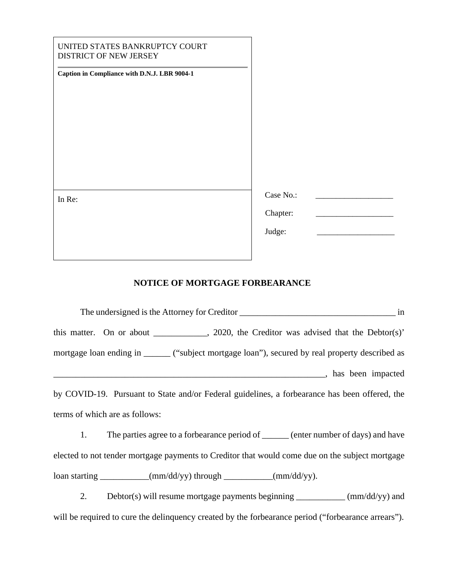| Case No.:<br>In Re:<br>Chapter:<br>Judge: | UNITED STATES BANKRUPTCY COURT<br>DISTRICT OF NEW JERSEY<br>Caption in Compliance with D.N.J. LBR 9004-1 |  |
|-------------------------------------------|----------------------------------------------------------------------------------------------------------|--|
|                                           |                                                                                                          |  |

## **NOTICE OF MORTGAGE FORBEARANCE**

| The undersigned is the Attorney for Creditor<br>in                                              |
|-------------------------------------------------------------------------------------------------|
| this matter. On or about ___________, 2020, the Creditor was advised that the Debtor(s)'        |
| mortgage loan ending in ______ ("subject mortgage loan"), secured by real property described as |
| has been impacted                                                                               |
| by COVID-19. Pursuant to State and/or Federal guidelines, a forbearance has been offered, the   |
| terms of which are as follows:                                                                  |
| The parties agree to a forbearance period of ______ (enter number of days) and have<br>1.       |
| elected to not tender mortgage payments to Creditor that would come due on the subject mortgage |

loan starting \_\_\_\_\_\_\_\_\_\_(mm/dd/yy) through \_\_\_\_\_\_\_\_\_(mm/dd/yy).

2. Debtor(s) will resume mortgage payments beginning \_\_\_\_\_\_\_\_\_\_ (mm/dd/yy) and will be required to cure the delinquency created by the forbearance period ("forbearance arrears").